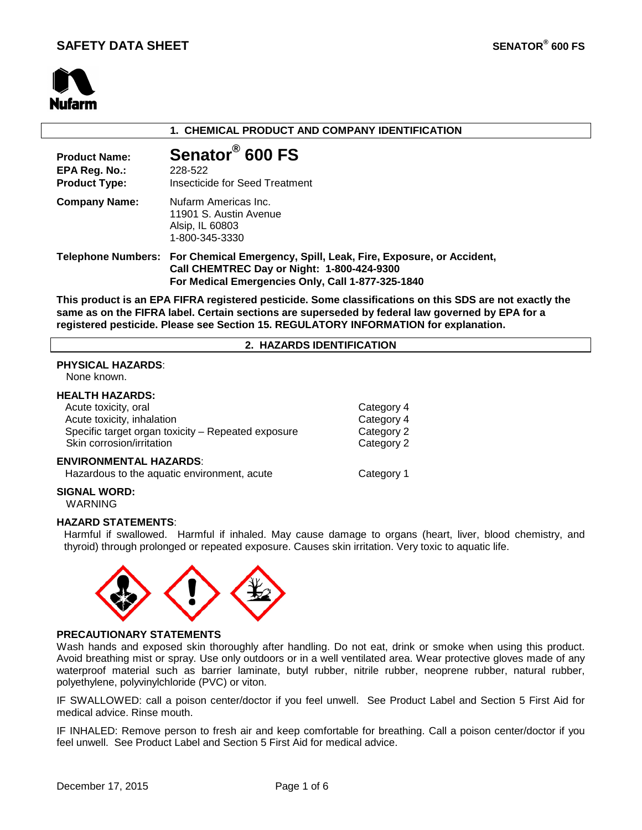or Accident,



## **1. CHEMICAL PRODUCT AND COMPANY IDENTIFICATION**

| <b>Product Name:</b><br>EPA Reg. No.:<br><b>Product Type:</b> | Senator <sup>®</sup> 600 FS<br>228-522<br>Insecticide for Seed Treatment                                              |
|---------------------------------------------------------------|-----------------------------------------------------------------------------------------------------------------------|
| <b>Company Name:</b>                                          | Nufarm Americas Inc.<br>11901 S. Austin Avenue<br>Alsip, IL 60803<br>1-800-345-3330                                   |
|                                                               | Telephone Numbers: For Chemical Emergency, Spill, Leak, Fire, Exposure,<br>Call CHEMTREC Day or Night: 1-800-424-9300 |

**This product is an EPA FIFRA registered pesticide. Some classifications on this SDS are not exactly the same as on the FIFRA label. Certain sections are superseded by federal law governed by EPA for a registered pesticide. Please see Section 15. REGULATORY INFORMATION for explanation.**

**For Medical Emergencies Only, Call 1-877-325-1840**

#### **2. HAZARDS IDENTIFICATION**

# **PHYSICAL HAZARDS**:

None known.

#### **HEALTH HAZARDS:**

| Acute toxicity, oral                               | Category 4 |
|----------------------------------------------------|------------|
| Acute toxicity, inhalation                         | Category 4 |
| Specific target organ toxicity - Repeated exposure | Category 2 |
| Skin corrosion/irritation                          | Category 2 |
| <b>ENVIRONMENTAL HAZARDS:</b>                      |            |
| Hazardous to the aquatic environment, acute        | Category 1 |

## **SIGNAL WORD:**

WARNING

## **HAZARD STATEMENTS**:

Harmful if swallowed. Harmful if inhaled. May cause damage to organs (heart, liver, blood chemistry, and thyroid) through prolonged or repeated exposure. Causes skin irritation. Very toxic to aquatic life.



#### **PRECAUTIONARY STATEMENTS**

Wash hands and exposed skin thoroughly after handling. Do not eat, drink or smoke when using this product. Avoid breathing mist or spray. Use only outdoors or in a well ventilated area. Wear protective gloves made of any waterproof material such as barrier laminate, butyl rubber, nitrile rubber, neoprene rubber, natural rubber, polyethylene, polyvinylchloride (PVC) or viton.

IF SWALLOWED: call a poison center/doctor if you feel unwell. See Product Label and Section 5 First Aid for medical advice. Rinse mouth.

IF INHALED: Remove person to fresh air and keep comfortable for breathing. Call a poison center/doctor if you feel unwell. See Product Label and Section 5 First Aid for medical advice.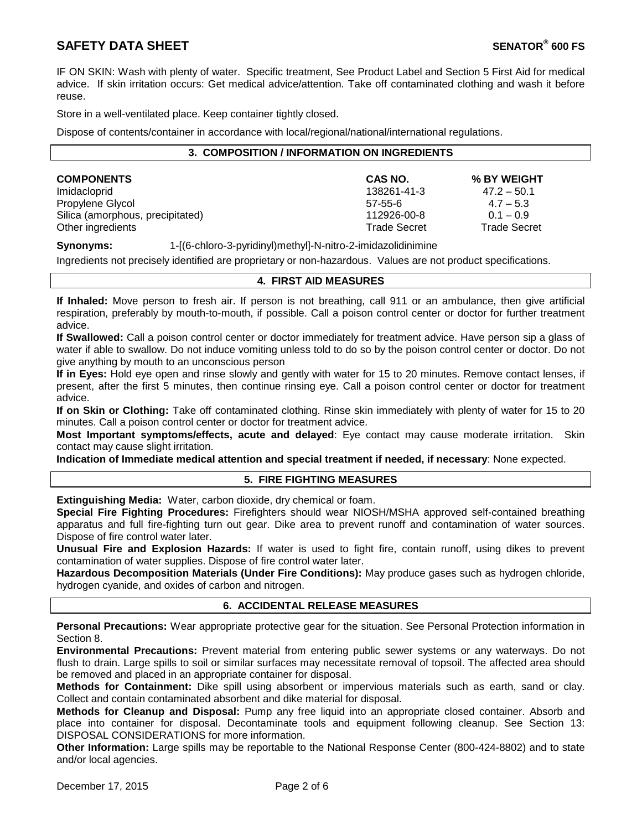# **SAFETY DATA SHEET SENATOR® 600 FS**

IF ON SKIN: Wash with plenty of water. Specific treatment, See Product Label and Section 5 First Aid for medical advice. If skin irritation occurs: Get medical advice/attention. Take off contaminated clothing and wash it before reuse.

Store in a well-ventilated place. Keep container tightly closed.

Dispose of contents/container in accordance with local/regional/national/international regulations.

#### **3. COMPOSITION / INFORMATION ON INGREDIENTS**

| <b>COMPONENTS</b>                | CAS NO.      | % BY WEIGHT         |
|----------------------------------|--------------|---------------------|
| Imidacloprid                     | 138261-41-3  | $47.2 - 50.1$       |
| Propylene Glycol                 | $57-55-6$    | $4.7 - 5.3$         |
| Silica (amorphous, precipitated) | 112926-00-8  | $0.1 - 0.9$         |
| Other ingredients                | Trade Secret | <b>Trade Secret</b> |

**Synonyms:** 1-[(6-chloro-3-pyridinyl)methyl]-N-nitro-2-imidazolidinimine

Ingredients not precisely identified are proprietary or non-hazardous. Values are not product specifications.

## **4. FIRST AID MEASURES**

**If Inhaled:** Move person to fresh air. If person is not breathing, call 911 or an ambulance, then give artificial respiration, preferably by mouth-to-mouth, if possible. Call a poison control center or doctor for further treatment advice.

**If Swallowed:** Call a poison control center or doctor immediately for treatment advice. Have person sip a glass of water if able to swallow. Do not induce vomiting unless told to do so by the poison control center or doctor. Do not give anything by mouth to an unconscious person

**If in Eyes:** Hold eye open and rinse slowly and gently with water for 15 to 20 minutes. Remove contact lenses, if present, after the first 5 minutes, then continue rinsing eye. Call a poison control center or doctor for treatment advice.

**If on Skin or Clothing:** Take off contaminated clothing. Rinse skin immediately with plenty of water for 15 to 20 minutes. Call a poison control center or doctor for treatment advice.

**Most Important symptoms/effects, acute and delayed**: Eye contact may cause moderate irritation. Skin contact may cause slight irritation.

**Indication of Immediate medical attention and special treatment if needed, if necessary**: None expected.

## **5. FIRE FIGHTING MEASURES**

**Extinguishing Media:** Water, carbon dioxide, dry chemical or foam.

**Special Fire Fighting Procedures:** Firefighters should wear NIOSH/MSHA approved self-contained breathing apparatus and full fire-fighting turn out gear. Dike area to prevent runoff and contamination of water sources. Dispose of fire control water later.

**Unusual Fire and Explosion Hazards:** If water is used to fight fire, contain runoff, using dikes to prevent contamination of water supplies. Dispose of fire control water later.

**Hazardous Decomposition Materials (Under Fire Conditions):** May produce gases such as hydrogen chloride, hydrogen cyanide, and oxides of carbon and nitrogen.

## **6. ACCIDENTAL RELEASE MEASURES**

**Personal Precautions:** Wear appropriate protective gear for the situation. See Personal Protection information in Section 8.

**Environmental Precautions:** Prevent material from entering public sewer systems or any waterways. Do not flush to drain. Large spills to soil or similar surfaces may necessitate removal of topsoil. The affected area should be removed and placed in an appropriate container for disposal.

**Methods for Containment:** Dike spill using absorbent or impervious materials such as earth, sand or clay. Collect and contain contaminated absorbent and dike material for disposal.

**Methods for Cleanup and Disposal:** Pump any free liquid into an appropriate closed container. Absorb and place into container for disposal. Decontaminate tools and equipment following cleanup. See Section 13: DISPOSAL CONSIDERATIONS for more information.

**Other Information:** Large spills may be reportable to the National Response Center (800-424-8802) and to state and/or local agencies.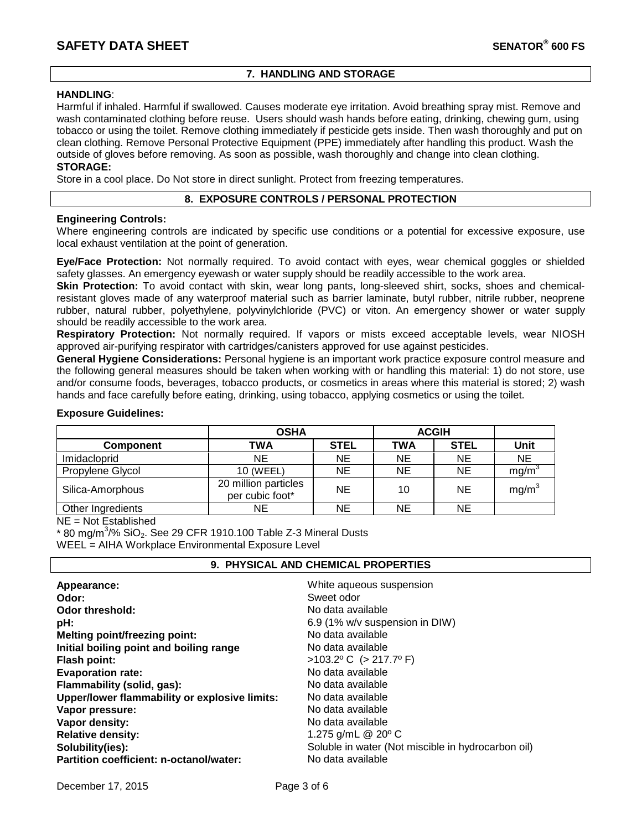## **7. HANDLING AND STORAGE**

### **HANDLING**:

Harmful if inhaled. Harmful if swallowed. Causes moderate eye irritation. Avoid breathing spray mist. Remove and wash contaminated clothing before reuse. Users should wash hands before eating, drinking, chewing gum, using tobacco or using the toilet. Remove clothing immediately if pesticide gets inside. Then wash thoroughly and put on clean clothing. Remove Personal Protective Equipment (PPE) immediately after handling this product. Wash the outside of gloves before removing. As soon as possible, wash thoroughly and change into clean clothing.

# **STORAGE:**

Store in a cool place. Do Not store in direct sunlight. Protect from freezing temperatures.

## **8. EXPOSURE CONTROLS / PERSONAL PROTECTION**

## **Engineering Controls:**

Where engineering controls are indicated by specific use conditions or a potential for excessive exposure, use local exhaust ventilation at the point of generation.

**Eye/Face Protection:** Not normally required. To avoid contact with eyes, wear chemical goggles or shielded safety glasses. An emergency eyewash or water supply should be readily accessible to the work area.

**Skin Protection:** To avoid contact with skin, wear long pants, long-sleeved shirt, socks, shoes and chemicalresistant gloves made of any waterproof material such as barrier laminate, butyl rubber, nitrile rubber, neoprene rubber, natural rubber, polyethylene, polyvinylchloride (PVC) or viton. An emergency shower or water supply should be readily accessible to the work area.

**Respiratory Protection:** Not normally required. If vapors or mists exceed acceptable levels, wear NIOSH approved air-purifying respirator with cartridges/canisters approved for use against pesticides.

**General Hygiene Considerations:** Personal hygiene is an important work practice exposure control measure and the following general measures should be taken when working with or handling this material: 1) do not store, use and/or consume foods, beverages, tobacco products, or cosmetics in areas where this material is stored; 2) wash hands and face carefully before eating, drinking, using tobacco, applying cosmetics or using the toilet.

#### **Exposure Guidelines:**

|                   | <b>ACGIH</b><br><b>OSHA</b>             |             |            |             |                   |
|-------------------|-----------------------------------------|-------------|------------|-------------|-------------------|
| <b>Component</b>  | <b>TWA</b>                              | <b>STEL</b> | <b>TWA</b> | <b>STEL</b> | Unit              |
| Imidacloprid      | <b>NE</b>                               | <b>NE</b>   | NE.        | NE          | <b>NE</b>         |
| Propylene Glycol  | 10 (WEEL)                               | <b>NE</b>   | <b>NE</b>  | NE          | mg/m              |
| Silica-Amorphous  | 20 million particles<br>per cubic foot* | <b>NE</b>   | 10         | NE          | mg/m <sup>3</sup> |
| Other Ingredients | <b>NE</b>                               | NE          | NE         | NΕ          |                   |

NE = Not Established

 $^*$  80 mg/m $^3$ /% SiO $_2$ . See 29 CFR 1910.100 Table Z-3 Mineral Dusts WEEL = AIHA Workplace Environmental Exposure Level

## **9. PHYSICAL AND CHEMICAL PROPERTIES**

| Appearance:                                   | White aqueous suspension                           |
|-----------------------------------------------|----------------------------------------------------|
| Odor:                                         | Sweet odor                                         |
| Odor threshold:                               | No data available                                  |
| pH:                                           | 6.9 (1% w/v suspension in DIW)                     |
| <b>Melting point/freezing point:</b>          | No data available                                  |
| Initial boiling point and boiling range       | No data available                                  |
| <b>Flash point:</b>                           | $>103.2$ °C ( $>217.7$ °F)                         |
| <b>Evaporation rate:</b>                      | No data available                                  |
| Flammability (solid, gas):                    | No data available                                  |
| Upper/lower flammability or explosive limits: | No data available                                  |
| Vapor pressure:                               | No data available                                  |
| Vapor density:                                | No data available                                  |
| <b>Relative density:</b>                      | 1.275 g/mL $@$ 20 $^{\circ}$ C                     |
| Solubility(ies):                              | Soluble in water (Not miscible in hydrocarbon oil) |
| Partition coefficient: n-octanol/water:       | No data available                                  |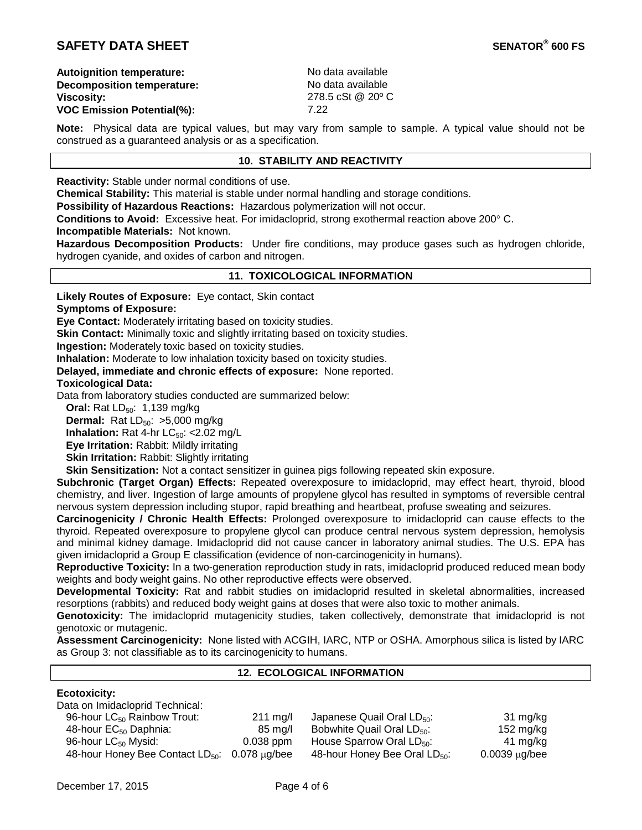# **SAFETY DATA SHEET SENATOR® 600 FS**

**Autoignition temperature:** No data available<br> **Decomposition temperature:** No data available **Decomposition temperature:**<br>Viscositv: **VOC Emission Potential(%):** 

**Viscosity:** 278.5 cSt @ 20º C

**Note:** Physical data are typical values, but may vary from sample to sample. A typical value should not be construed as a guaranteed analysis or as a specification.

## **10. STABILITY AND REACTIVITY**

**Reactivity:** Stable under normal conditions of use.

**Chemical Stability:** This material is stable under normal handling and storage conditions.

**Possibility of Hazardous Reactions:** Hazardous polymerization will not occur.

**Conditions to Avoid:** Excessive heat. For imidacloprid, strong exothermal reaction above 200° C.

**Incompatible Materials:** Not known.

**Hazardous Decomposition Products:** Under fire conditions, may produce gases such as hydrogen chloride, hydrogen cyanide, and oxides of carbon and nitrogen.

#### **11. TOXICOLOGICAL INFORMATION**

**Likely Routes of Exposure:** Eye contact, Skin contact

**Symptoms of Exposure:**

**Eye Contact:** Moderately irritating based on toxicity studies.

**Skin Contact:** Minimally toxic and slightly irritating based on toxicity studies.

**Ingestion:** Moderately toxic based on toxicity studies.

**Inhalation:** Moderate to low inhalation toxicity based on toxicity studies.

**Delayed, immediate and chronic effects of exposure:** None reported.

## **Toxicological Data:**

Data from laboratory studies conducted are summarized below:

**Oral:** Rat LD<sub>50</sub>: 1,139 mg/kg

**Dermal:** Rat LD<sub>50</sub>: >5,000 mg/kg

**Inhalation:** Rat 4-hr  $LC_{50}$ : <2.02 mg/L

**Eye Irritation:** Rabbit: Mildly irritating

**Skin Irritation: Rabbit: Slightly irritating** 

**Skin Sensitization:** Not a contact sensitizer in guinea pigs following repeated skin exposure.

**Subchronic (Target Organ) Effects:** Repeated overexposure to imidacloprid, may effect heart, thyroid, blood chemistry, and liver. Ingestion of large amounts of propylene glycol has resulted in symptoms of reversible central nervous system depression including stupor, rapid breathing and heartbeat, profuse sweating and seizures.

**Carcinogenicity / Chronic Health Effects:** Prolonged overexposure to imidacloprid can cause effects to the thyroid. Repeated overexposure to propylene glycol can produce central nervous system depression, hemolysis and minimal kidney damage. Imidacloprid did not cause cancer in laboratory animal studies. The U.S. EPA has given imidacloprid a Group E classification (evidence of non-carcinogenicity in humans).

**Reproductive Toxicity:** In a two-generation reproduction study in rats, imidacloprid produced reduced mean body weights and body weight gains. No other reproductive effects were observed.

**Developmental Toxicity:** Rat and rabbit studies on imidacloprid resulted in skeletal abnormalities, increased resorptions (rabbits) and reduced body weight gains at doses that were also toxic to mother animals.

**Genotoxicity:** The imidacloprid mutagenicity studies, taken collectively, demonstrate that imidacloprid is not genotoxic or mutagenic.

**Assessment Carcinogenicity:** None listed with ACGIH, IARC, NTP or OSHA. Amorphous silica is listed by IARC as Group 3: not classifiable as to its carcinogenicity to humans.

## **12. ECOLOGICAL INFORMATION**

## **Ecotoxicity:**

| Data on Imidacloprid Technical:                         |                    |                                           |                     |
|---------------------------------------------------------|--------------------|-------------------------------------------|---------------------|
| 96-hour LC <sub>50</sub> Rainbow Trout:                 | $211 \text{ mg/l}$ | Japanese Quail Oral $LD_{50}$ :           | 31 mg/kg            |
| 48-hour EC <sub>50</sub> Daphnia:                       | 85 mg/l            | Bobwhite Quail Oral $LD_{50}$ :           | $152 \text{ mg/kg}$ |
| 96-hour $LC_{50}$ Mysid:                                | $0.038$ ppm        | House Sparrow Oral $LD_{50}$ :            | 41 mg/kg            |
| 48-hour Honey Bee Contact $LD_{50}$ : 0.078 $\mu$ g/bee |                    | 48-hour Honey Bee Oral LD <sub>50</sub> : | $0.0039 \mu g$ /bee |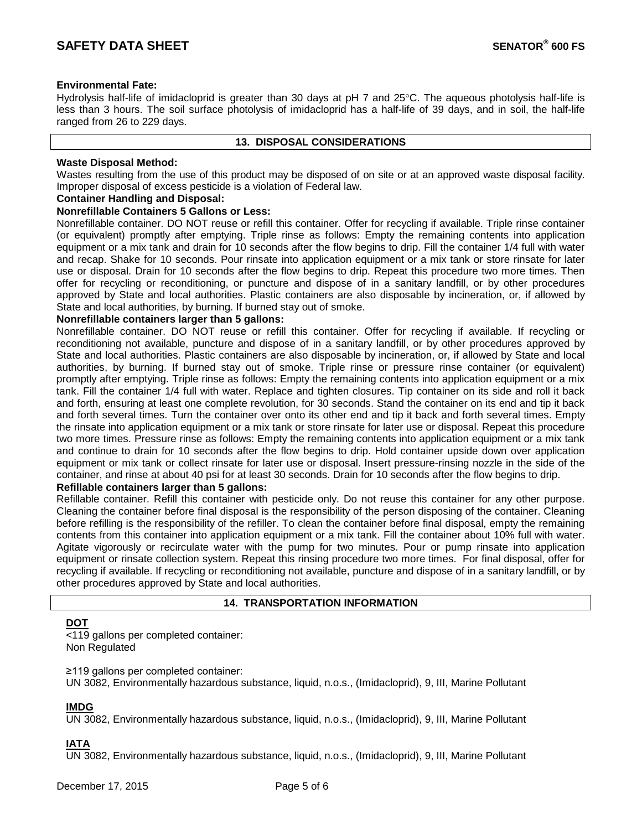## **Environmental Fate:**

Hydrolysis half-life of imidacloprid is greater than 30 days at pH 7 and 25°C. The aqueous photolysis half-life is less than 3 hours. The soil surface photolysis of imidacloprid has a half-life of 39 days, and in soil, the half-life ranged from 26 to 229 days.

### **13. DISPOSAL CONSIDERATIONS**

## **Waste Disposal Method:**

Wastes resulting from the use of this product may be disposed of on site or at an approved waste disposal facility. Improper disposal of excess pesticide is a violation of Federal law.

#### **Container Handling and Disposal:**

#### **Nonrefillable Containers 5 Gallons or Less:**

Nonrefillable container. DO NOT reuse or refill this container. Offer for recycling if available. Triple rinse container (or equivalent) promptly after emptying. Triple rinse as follows: Empty the remaining contents into application equipment or a mix tank and drain for 10 seconds after the flow begins to drip. Fill the container 1/4 full with water and recap. Shake for 10 seconds. Pour rinsate into application equipment or a mix tank or store rinsate for later use or disposal. Drain for 10 seconds after the flow begins to drip. Repeat this procedure two more times. Then offer for recycling or reconditioning, or puncture and dispose of in a sanitary landfill, or by other procedures approved by State and local authorities. Plastic containers are also disposable by incineration, or, if allowed by State and local authorities, by burning. If burned stay out of smoke.

## **Nonrefillable containers larger than 5 gallons:**

Nonrefillable container. DO NOT reuse or refill this container. Offer for recycling if available. If recycling or reconditioning not available, puncture and dispose of in a sanitary landfill, or by other procedures approved by State and local authorities. Plastic containers are also disposable by incineration, or, if allowed by State and local authorities, by burning. If burned stay out of smoke. Triple rinse or pressure rinse container (or equivalent) promptly after emptying. Triple rinse as follows: Empty the remaining contents into application equipment or a mix tank. Fill the container 1/4 full with water. Replace and tighten closures. Tip container on its side and roll it back and forth, ensuring at least one complete revolution, for 30 seconds. Stand the container on its end and tip it back and forth several times. Turn the container over onto its other end and tip it back and forth several times. Empty the rinsate into application equipment or a mix tank or store rinsate for later use or disposal. Repeat this procedure two more times. Pressure rinse as follows: Empty the remaining contents into application equipment or a mix tank and continue to drain for 10 seconds after the flow begins to drip. Hold container upside down over application equipment or mix tank or collect rinsate for later use or disposal. Insert pressure-rinsing nozzle in the side of the container, and rinse at about 40 psi for at least 30 seconds. Drain for 10 seconds after the flow begins to drip.

## **Refillable containers larger than 5 gallons:**

Refillable container. Refill this container with pesticide only. Do not reuse this container for any other purpose. Cleaning the container before final disposal is the responsibility of the person disposing of the container. Cleaning before refilling is the responsibility of the refiller. To clean the container before final disposal, empty the remaining contents from this container into application equipment or a mix tank. Fill the container about 10% full with water. Agitate vigorously or recirculate water with the pump for two minutes. Pour or pump rinsate into application equipment or rinsate collection system. Repeat this rinsing procedure two more times. For final disposal, offer for recycling if available. If recycling or reconditioning not available, puncture and dispose of in a sanitary landfill, or by other procedures approved by State and local authorities.

## **14. TRANSPORTATION INFORMATION**

# **DOT**

<119 gallons per completed container: Non Regulated

≥119 gallons per completed container: UN 3082, Environmentally hazardous substance, liquid, n.o.s., (Imidacloprid), 9, III, Marine Pollutant

# **IMDG**

UN 3082, Environmentally hazardous substance, liquid, n.o.s., (Imidacloprid), 9, III, Marine Pollutant

# **IATA**

UN 3082, Environmentally hazardous substance, liquid, n.o.s., (Imidacloprid), 9, III, Marine Pollutant